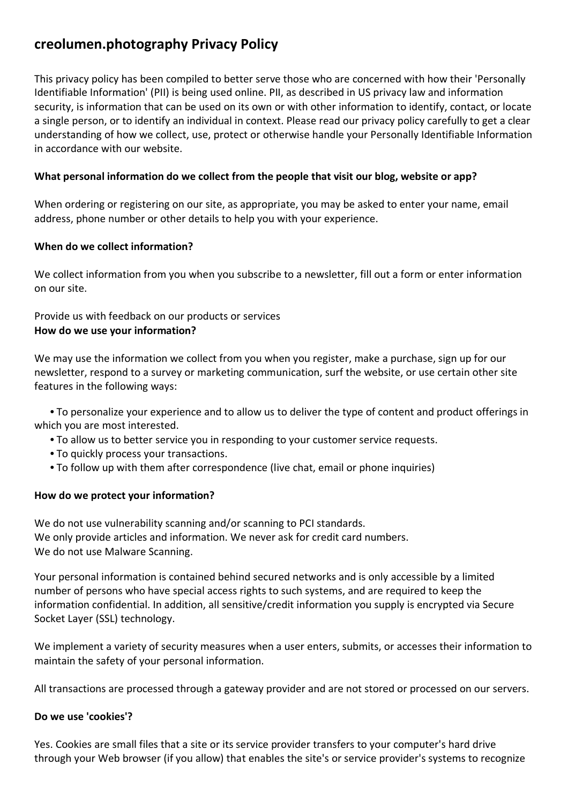# **creolumen.photography Privacy Policy**

This privacy policy has been compiled to better serve those who are concerned with how their 'Personally Identifiable Information' (PII) is being used online. PII, as described in US privacy law and information security, is information that can be used on its own or with other information to identify, contact, or locate a single person, or to identify an individual in context. Please read our privacy policy carefully to get a clear understanding of how we collect, use, protect or otherwise handle your Personally Identifiable Information in accordance with our website.

## **What personal information do we collect from the people that visit our blog, website or app?**

When ordering or registering on our site, as appropriate, you may be asked to enter your name, email address, phone number or other details to help you with your experience.

## **When do we collect information?**

We collect information from you when you subscribe to a newsletter, fill out a form or enter information on our site.

## Provide us with feedback on our products or services **How do we use your information?**

We may use the information we collect from you when you register, make a purchase, sign up for our newsletter, respond to a survey or marketing communication, surf the website, or use certain other site features in the following ways:

 **•** To personalize your experience and to allow us to deliver the type of content and product offerings in which you are most interested.

- **•** To allow us to better service you in responding to your customer service requests.
- **•** To quickly process your transactions.
- **•** To follow up with them after correspondence (live chat, email or phone inquiries)

## **How do we protect your information?**

We do not use vulnerability scanning and/or scanning to PCI standards. We only provide articles and information. We never ask for credit card numbers. We do not use Malware Scanning.

Your personal information is contained behind secured networks and is only accessible by a limited number of persons who have special access rights to such systems, and are required to keep the information confidential. In addition, all sensitive/credit information you supply is encrypted via Secure Socket Layer (SSL) technology.

We implement a variety of security measures when a user enters, submits, or accesses their information to maintain the safety of your personal information.

All transactions are processed through a gateway provider and are not stored or processed on our servers.

## **Do we use 'cookies'?**

Yes. Cookies are small files that a site or its service provider transfers to your computer's hard drive through your Web browser (if you allow) that enables the site's or service provider's systems to recognize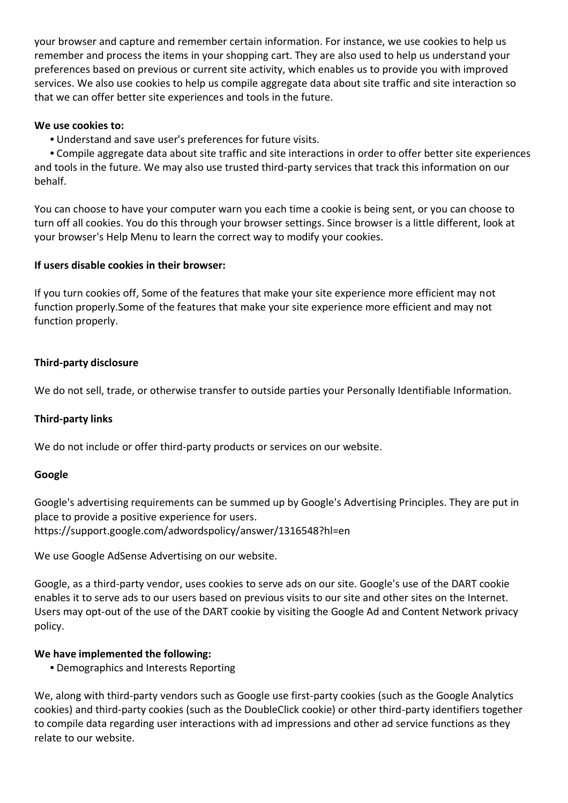your browser and capture and remember certain information. For instance, we use cookies to help us remember and process the items in your shopping cart. They are also used to help us understand your preferences based on previous or current site activity, which enables us to provide you with improved services. We also use cookies to help us compile aggregate data about site traffic and site interaction so that we can offer better site experiences and tools in the future.

## **We use cookies to:**

**•** Understand and save user's preferences for future visits.

 **•** Compile aggregate data about site traffic and site interactions in order to offer better site experiences and tools in the future. We may also use trusted third-party services that track this information on our behalf.

You can choose to have your computer warn you each time a cookie is being sent, or you can choose to turn off all cookies. You do this through your browser settings. Since browser is a little different, look at your browser's Help Menu to learn the correct way to modify your cookies.

## **If users disable cookies in their browser:**

If you turn cookies off, Some of the features that make your site experience more efficient may not function properly.Some of the features that make your site experience more efficient and may not function properly.

## **Third-party disclosure**

We do not sell, trade, or otherwise transfer to outside parties your Personally Identifiable Information.

#### **Third-party links**

We do not include or offer third-party products or services on our website.

#### **Google**

Google's advertising requirements can be summed up by Google's Advertising Principles. They are put in place to provide a positive experience for users. https://support.google.com/adwordspolicy/answer/1316548?hl=en

We use Google AdSense Advertising on our website.

Google, as a third-party vendor, uses cookies to serve ads on our site. Google's use of the DART cookie enables it to serve ads to our users based on previous visits to our site and other sites on the Internet. Users may opt-out of the use of the DART cookie by visiting the Google Ad and Content Network privacy policy.

#### **We have implemented the following:**

**•** Demographics and Interests Reporting

We, along with third-party vendors such as Google use first-party cookies (such as the Google Analytics cookies) and third-party cookies (such as the DoubleClick cookie) or other third-party identifiers together to compile data regarding user interactions with ad impressions and other ad service functions as they relate to our website.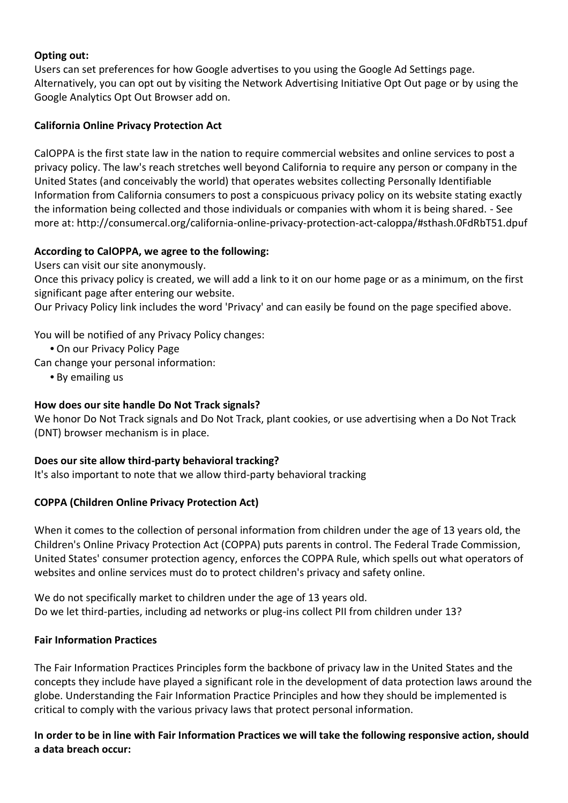## **Opting out:**

Users can set preferences for how Google advertises to you using the Google Ad Settings page. Alternatively, you can opt out by visiting the Network Advertising Initiative Opt Out page or by using the Google Analytics Opt Out Browser add on.

## **California Online Privacy Protection Act**

CalOPPA is the first state law in the nation to require commercial websites and online services to post a privacy policy. The law's reach stretches well beyond California to require any person or company in the United States (and conceivably the world) that operates websites collecting Personally Identifiable Information from California consumers to post a conspicuous privacy policy on its website stating exactly the information being collected and those individuals or companies with whom it is being shared. - See more at: http://consumercal.org/california-online-privacy-protection-act-caloppa/#sthash.0FdRbT51.dpuf

## **According to CalOPPA, we agree to the following:**

Users can visit our site anonymously.

Once this privacy policy is created, we will add a link to it on our home page or as a minimum, on the first significant page after entering our website.

Our Privacy Policy link includes the word 'Privacy' and can easily be found on the page specified above.

You will be notified of any Privacy Policy changes:

**•** On our Privacy Policy Page

Can change your personal information:

**•** By emailing us

# **How does our site handle Do Not Track signals?**

We honor Do Not Track signals and Do Not Track, plant cookies, or use advertising when a Do Not Track (DNT) browser mechanism is in place.

## **Does our site allow third-party behavioral tracking?**

It's also important to note that we allow third-party behavioral tracking

# **COPPA (Children Online Privacy Protection Act)**

When it comes to the collection of personal information from children under the age of 13 years old, the Children's Online Privacy Protection Act (COPPA) puts parents in control. The Federal Trade Commission, United States' consumer protection agency, enforces the COPPA Rule, which spells out what operators of websites and online services must do to protect children's privacy and safety online.

We do not specifically market to children under the age of 13 years old. Do we let third-parties, including ad networks or plug-ins collect PII from children under 13?

## **Fair Information Practices**

The Fair Information Practices Principles form the backbone of privacy law in the United States and the concepts they include have played a significant role in the development of data protection laws around the globe. Understanding the Fair Information Practice Principles and how they should be implemented is critical to comply with the various privacy laws that protect personal information.

**In order to be in line with Fair Information Practices we will take the following responsive action, should a data breach occur:**